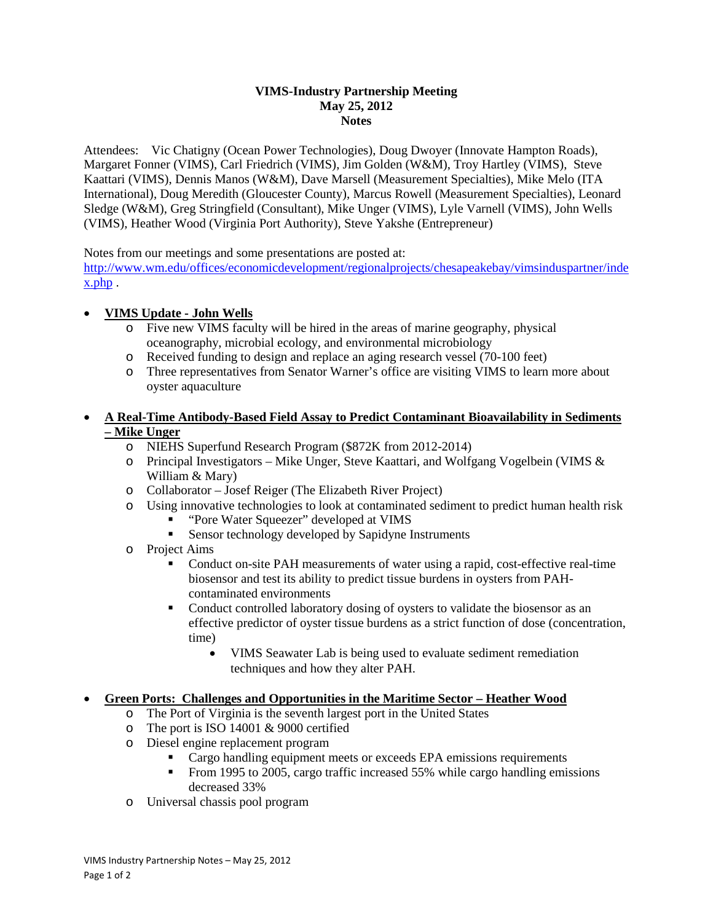#### **VIMS-Industry Partnership Meeting May 25, 2012 Notes**

Attendees: Vic Chatigny (Ocean Power Technologies), Doug Dwoyer (Innovate Hampton Roads), Margaret Fonner (VIMS), Carl Friedrich (VIMS), Jim Golden (W&M), Troy Hartley (VIMS), Steve Kaattari (VIMS), Dennis Manos (W&M), Dave Marsell (Measurement Specialties), Mike Melo (ITA International), Doug Meredith (Gloucester County), Marcus Rowell (Measurement Specialties), Leonard Sledge (W&M), Greg Stringfield (Consultant), Mike Unger (VIMS), Lyle Varnell (VIMS), John Wells (VIMS), Heather Wood (Virginia Port Authority), Steve Yakshe (Entrepreneur)

Notes from our meetings and some presentations are posted at:

[http://www.wm.edu/offices/economicdevelopment/regionalprojects/chesapeakebay/vimsinduspartner/inde](http://www.wm.edu/offices/economicdevelopment/regionalprojects/chesapeakebay/vimsinduspartner/index.php) [x.php](http://www.wm.edu/offices/economicdevelopment/regionalprojects/chesapeakebay/vimsinduspartner/index.php) .

# • **VIMS Update - John Wells**

- o Five new VIMS faculty will be hired in the areas of marine geography, physical oceanography, microbial ecology, and environmental microbiology
- o Received funding to design and replace an aging research vessel (70-100 feet)
- o Three representatives from Senator Warner's office are visiting VIMS to learn more about oyster aquaculture

#### • **A Real-Time Antibody-Based Field Assay to Predict Contaminant Bioavailability in Sediments – Mike Unger**

- o NIEHS Superfund Research Program (\$872K from 2012-2014)
- o Principal Investigators Mike Unger, Steve Kaattari, and Wolfgang Vogelbein (VIMS & William & Mary)
- o Collaborator Josef Reiger (The Elizabeth River Project)
- o Using innovative technologies to look at contaminated sediment to predict human health risk
	- " "Pore Water Squeezer" developed at VIMS"
	- Sensor technology developed by Sapidyne Instruments
- o Project Aims
	- Conduct on-site PAH measurements of water using a rapid, cost-effective real-time biosensor and test its ability to predict tissue burdens in oysters from PAHcontaminated environments
	- Conduct controlled laboratory dosing of oysters to validate the biosensor as an effective predictor of oyster tissue burdens as a strict function of dose (concentration, time)
		- VIMS Seawater Lab is being used to evaluate sediment remediation techniques and how they alter PAH.

## • **Green Ports: Challenges and Opportunities in the Maritime Sector – Heather Wood**

- o The Port of Virginia is the seventh largest port in the United States
- o The port is ISO 14001 & 9000 certified
- o Diesel engine replacement program
	- Cargo handling equipment meets or exceeds EPA emissions requirements
	- From 1995 to 2005, cargo traffic increased 55% while cargo handling emissions decreased 33%
- o Universal chassis pool program